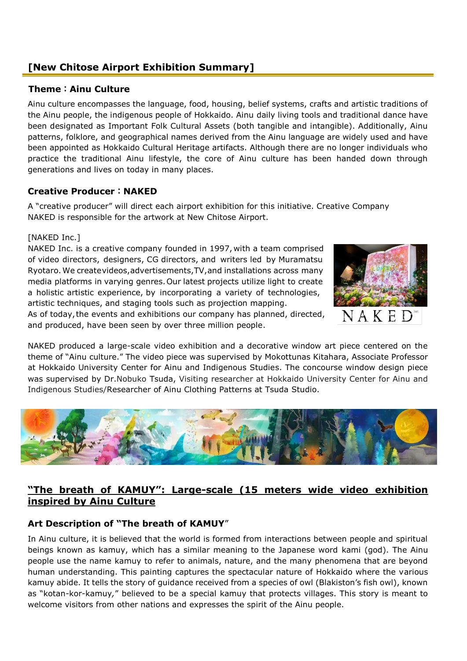# **[New Chitose Airport Exhibition Summary]**

#### **Theme:Ainu Culture**

Ainu culture encompasses the language, food, housing, belief systems, crafts and artistic traditions of the Ainu people, the indigenous people of Hokkaido. Ainu daily living tools and traditional dance have been designated as Important Folk Cultural Assets (both tangible and intangible). Additionally, Ainu patterns, folklore, and geographical names derived from the Ainu language are widely used and have been appointed as Hokkaido Cultural Heritage artifacts. Although there are no longer individuals who practice the traditional Ainu lifestyle, the core of Ainu culture has been handed down through generations and lives on today in many places.

### **Creative Producer:NAKED**

A "creative producer" will direct each airport exhibition for this initiative. Creative Company NAKED is responsible for the artwork at New Chitose Airport.

#### [NAKED Inc.]

NAKED Inc. is a creative company founded in 1997, with a team comprised of video directors, designers, CG directors, and writers led by Muramatsu Ryotaro.We createvideos,advertisements,TV,and installations across many media platforms in varying genres.Our latest projects utilize light to create a holistic artistic experience, by incorporating a variety of technologies, artistic techniques, and staging tools such as projection mapping. As of today,the events and exhibitions our company has planned, directed, and produced, have been seen by over three million people.



NAKED produced a large-scale video exhibition and a decorative window art piece centered on the theme of "Ainu culture." The video piece was supervised by Mokottunas Kitahara, Associate Professor at Hokkaido University Center for Ainu and Indigenous Studies. The concourse window design piece was supervised by Dr.Nobuko Tsuda, Visiting researcher at Hokkaido University Center for Ainu and Indigenous Studies/Researcher of Ainu Clothing Patterns at Tsuda Studio.



## **"The breath of KAMUY": Large-scale (15 meters wide video exhibition inspired by Ainu Culture**

### **Art Description of "The breath of KAMUY**"

In Ainu culture, it is believed that the world is formed from interactions between people and spiritual beings known as kamuy, which has a similar meaning to the Japanese word kami (god). The Ainu people use the name kamuy to refer to animals, nature, and the many phenomena that are beyond human understanding. This painting captures the spectacular nature of Hokkaido where the various kamuy abide. It tells the story of guidance received from a species of owl (Blakiston's fish owl), known as "kotan-kor-kamuy*,*" believed to be a special kamuy that protects villages. This story is meant to welcome visitors from other nations and expresses the spirit of the Ainu people.